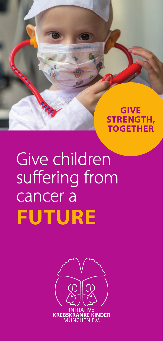**GIVE STRENGTH, TOGETHER**

# Give children suffering from<br>cancer a **FUTURE**

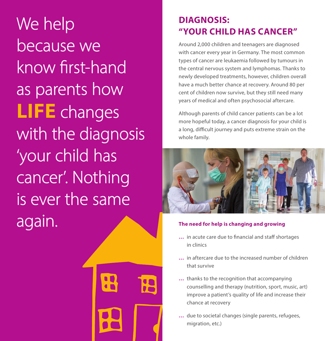We help because we know first-hand as parents how **LIFE** changes with the diagnosis 'your child has cancer'. Nothing is ever the same again.



## **DIAGNOSIS: "YOUR CHILD HAS CANCER"**

Around 2,000 children and teenagers are diagnosed with cancer every year in Germany. The most common types of cancer are leukaemia followed by tumours in the central nervous system and lymphomas. Thanks to newly developed treatments, however, children overall have a much better chance at recovery. Around 80 per cent of children now survive, but they still need many years of medical and often psychosocial aftercare.

Although parents of child cancer patients can be a lot more hopeful today, a cancer diagnosis for your child is a long, difficult journey and puts extreme strain on the whole family.



#### **The need for help is changing and growing**

- ... in acute care due to financial and staff shortages in clinics
- **…** in aftercare due to the increased number of children that survive
- **…** thanks to the recognition that accompanying counselling and therapy (nutrition, sport, music, art) improve a patient's quality of life and increase their chance at recovery
- **…** due to societal changes (single parents, refugees, migration, etc.)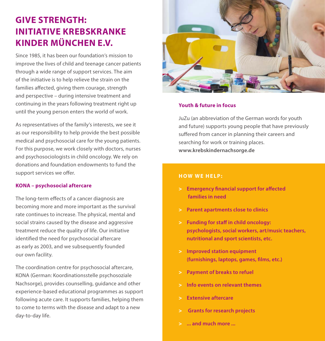## **GIVE STRENGTH: GIVE STRENGTH: INITIATIVE KREBSKRANKE INITIATIVE KREBSKRANKE KINDER MÜNCHEN E.V. KINDER MÜNCHEN E.V.**

Since 1985, it has been our foundation's mission to Since 1985, it has been our foundation's mission to improve the lives of child and teenage cancer patients improve the lives of child and teenage cancer patients through a wide range of support services. The aim through a wide range of support services. The aim of the initiative is to help relieve the strain on the of the initiative is to help relieve the strain on the families affected, giving them courage, strength and perspective – during intensive treatment and and perspective – during intensive treatment and continuing in the years following treatment right up continuing in the years following treatment right up until the young person enters the world of work. until the young person enters the world of work.

As representatives of the family's interests, we see it As representatives of the family's interests, we see it as our responsibility to help provide the best possible as our responsibility to help provide the best possible medical and psychosocial care for the young patients. medical and psychosocial care for the young patients. For this purpose, we work closely with doctors, nurses For this purpose, we work closely with doctors, nurses and psychosociologists in child oncology. We rely on and psychosociologists in child oncology. We rely on donations and foundation endowments to fund the donations and foundation endowments to fund the support services we offer.

#### **KONA – psychosocial aftercare KONA – psychosocial aftercare**

The long-term effects of a cancer diagnosis are becoming more and more important as the survival becoming more and more important as the survival rate continues to increase. The physical, mental and social strains caused by the disease and aggressive social strains caused by the disease and aggressive treatment reduce the quality of life. Our initiative treatment reduce the quality of life. Our initiative identified the need for psychosocial aftercare as early as 2003, and we subsequently founded as early as 2003, and we subsequently founded our own facility. our own facility.

The coordination centre for psychosocial aftercare, The coordination centre for psychosocial aftercare, KONA (German: Koordinationsstelle psychosoziale KONA (German: Koordinationsstelle psychosoziale Nachsorge), provides counselling, guidance and other Nachsorge), provides counselling, guidance and other experience-based educational programmes as support experience-based educational programmes as support following acute care. It supports families, helping them following acute care. It supports families, helping them to come to terms with the disease and adapt to a new to come to terms with the disease and adapt to a new day-to-day life. day-to-day life.



#### **Youth & future in focus Youth & future in focus**

JuZu (an abbreviation of the German words for youth JuZu (an abbreviation of the German words for youth and future) supports young people that have previously and future) supports young people that have previously suffered from cancer in planning their careers and searching for work or training places. searching for work or training places. **www.krebskindernachsorge.de www.krebskindernachsorge.de**

#### **HOW WE HELP: HOW WE HELP:**

- **Emergency financial support for affected families in need families in need**
- > **Parent apartments close to clinics** > **Parent apartments close to clinics**
- > **Funding for sta in child oncology:**  > **Funding for sta in child oncology: psychologists, social workers, art/music teachers, psychologists, social workers, art/music teachers, nutritional and sport scientists, etc. nutritional and sport scientists, etc.**
- > **Improved station equipment**  > **Improved station equipment (furnishings, laptops, games, lms, etc.) (furnishings, laptops, games, lms, etc.)**
- > **Payment of breaks to refuel** > **Payment of breaks to refuel**
- > **Info events on relevant themes** > **Info events on relevant themes**
- > **Extensive aftercare** > **Extensive aftercare**
- > **Grants for research projects** > **Grants for research projects**
- > **... and much more ...** > **... and much more ...**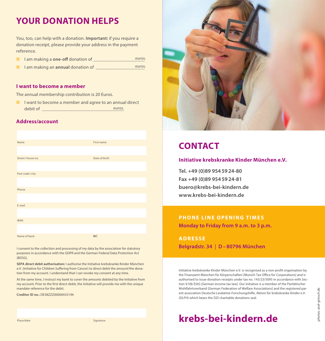## **YOUR DONATION HELPS**

You, too, can help with a donation. **Important:** if you require a donation receipt, please provide your address in the payment reference.

| I am making a one-off donation of | euros. |
|-----------------------------------|--------|
|                                   |        |

**n** I am making an **annual** donation of euros.

#### **I want to become a member**

The annual membership contribution is 20 Euros.

 $\blacksquare$  I want to become a member and agree to an annual direct debit of  $\Box$ euros.

#### **Address/account**

| Name             | First name    |
|------------------|---------------|
|                  |               |
| Street/house no. | Date of birth |
|                  |               |
| Post code/city   |               |
|                  |               |
| Phone            |               |
|                  |               |
| E-mail           |               |
|                  |               |
| <b>IBAN</b>      |               |
|                  |               |
| Name of bank     | <b>BIC</b>    |

I consent to the collection and processing of my data by the association for statutory purposes in accordance with the GDPR and the German Federal Data Protection Act (BDSG).

**SEPA direct debit authorisation:** I authorise the Initiative krebskranke Kinder München e.V. (Initiative for Children Suffering from Cancer) to direct debit the amount/the donation from my account. I understand that I can revoke my consent at any time.

At the same time, I instruct my bank to cover the amounts debited by the Initiative from my account. Prior to the first direct debit, the Initiative will provide me with the unique mandate reference for the debit.

**Creditor ID no.:** DE58ZZZ00000433194



## **CONTACT**

#### **Initiative krebskranke Kinder München e.V.**

**Tel. +49 (0)89 954 59 24-80 Fax +49 (0)89 954 59 24-81 buero@krebs-bei-kindern.de www.krebs-bei-kindern.de**

## **PHONE LINE OPENING TIMES**

**Monday to Friday from 9 a.m. to 3 p.m.**

**ADRESSE Belgradstr. 34** | **D – 80796 München**

Wohlfahrtsverband (German Federation of Welfare Associations) and the registered parent association Deutsche Leukämie-Forschungshilfe, Aktion für krebskranke Kinder e.V.<br>
(DLFH) which bears the DZI charitable donations sea Initiative krebskranke Kinder München e.V. is recognised as a non-profit organisation by the Finanzamt München für Körperschaften [Munich Tax Office for Corporations] and is authorised to issue donation receipts under tax no. 143/23/5095 in accordance with Section §10b EStG [German income tax law]. Our initiative is a member of the Paritätischer Wohlfahrtsverband [German Federation of Welfare Associations] and the registered parent association Deutsche Leukämie-Forschungshilfe, Aktion für krebskranke Kinder e.V. (DLFH) which bears the DZI charitable donations seal.